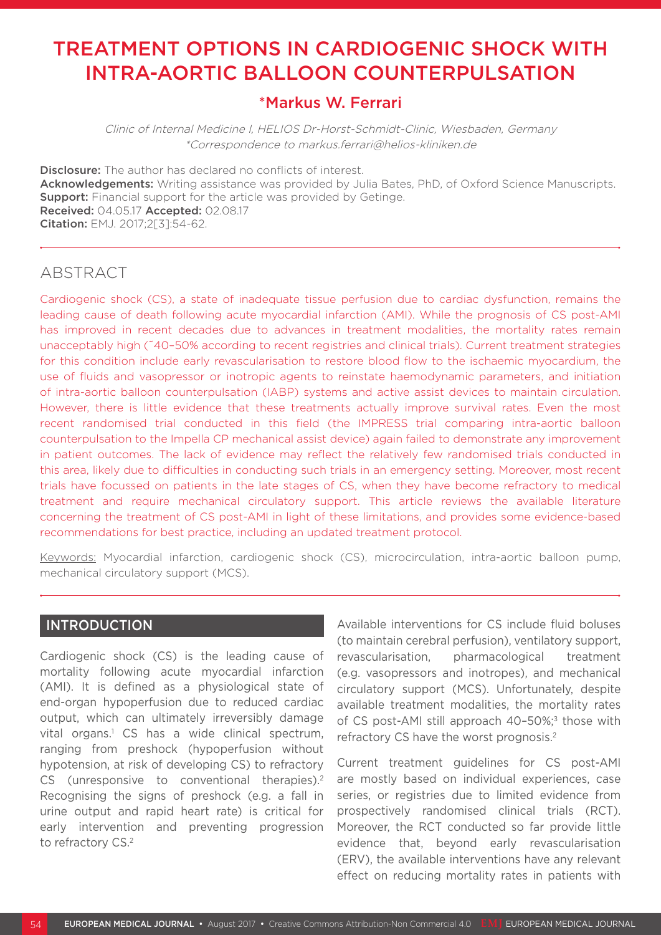# TREATMENT OPTIONS IN CARDIOGENIC SHOCK WITH INTRA-AORTIC BALLOON COUNTERPULSATION

## \*Markus W. Ferrari

Clinic of Internal Medicine I, HELIOS Dr-Horst-Schmidt-Clinic, Wiesbaden, Germany \*Correspondence to markus.ferrari@helios-kliniken.de

**Disclosure:** The author has declared no conflicts of interest. Acknowledgements: Writing assistance was provided by Julia Bates, PhD, of Oxford Science Manuscripts. **Support:** Financial support for the article was provided by Getinge. Received: 04.05.17 Accepted: 02.08.17 Citation: EMJ. 2017;2[3]:54-62.

# ABSTRACT

Cardiogenic shock (CS), a state of inadequate tissue perfusion due to cardiac dysfunction, remains the leading cause of death following acute myocardial infarction (AMI). While the prognosis of CS post-AMI has improved in recent decades due to advances in treatment modalities, the mortality rates remain unacceptably high (~40–50% according to recent registries and clinical trials). Current treatment strategies for this condition include early revascularisation to restore blood flow to the ischaemic myocardium, the use of fluids and vasopressor or inotropic agents to reinstate haemodynamic parameters, and initiation of intra-aortic balloon counterpulsation (IABP) systems and active assist devices to maintain circulation. However, there is little evidence that these treatments actually improve survival rates. Even the most recent randomised trial conducted in this field (the IMPRESS trial comparing intra-aortic balloon counterpulsation to the Impella CP mechanical assist device) again failed to demonstrate any improvement in patient outcomes. The lack of evidence may reflect the relatively few randomised trials conducted in this area, likely due to difficulties in conducting such trials in an emergency setting. Moreover, most recent trials have focussed on patients in the late stages of CS, when they have become refractory to medical treatment and require mechanical circulatory support. This article reviews the available literature concerning the treatment of CS post-AMI in light of these limitations, and provides some evidence-based recommendations for best practice, including an updated treatment protocol.

Keywords: Myocardial infarction, cardiogenic shock (CS), microcirculation, intra-aortic balloon pump, mechanical circulatory support (MCS).

## INTRODUCTION

Cardiogenic shock (CS) is the leading cause of mortality following acute myocardial infarction (AMI). It is defined as a physiological state of end-organ hypoperfusion due to reduced cardiac output, which can ultimately irreversibly damage vital organs.<sup>1</sup> CS has a wide clinical spectrum, ranging from preshock (hypoperfusion without hypotension, at risk of developing CS) to refractory CS (unresponsive to conventional therapies).<sup>2</sup> Recognising the signs of preshock (e.g. a fall in urine output and rapid heart rate) is critical for early intervention and preventing progression to refractory CS.<sup>2</sup>

Available interventions for CS include fluid boluses (to maintain cerebral perfusion), ventilatory support, revascularisation, pharmacological treatment (e.g. vasopressors and inotropes), and mechanical circulatory support (MCS). Unfortunately, despite available treatment modalities, the mortality rates of CS post-AMI still approach 40-50%;<sup>3</sup> those with refractory CS have the worst prognosis.<sup>2</sup>

Current treatment guidelines for CS post-AMI are mostly based on individual experiences, case series, or registries due to limited evidence from prospectively randomised clinical trials (RCT). Moreover, the RCT conducted so far provide little evidence that, beyond early revascularisation (ERV), the available interventions have any relevant effect on reducing mortality rates in patients with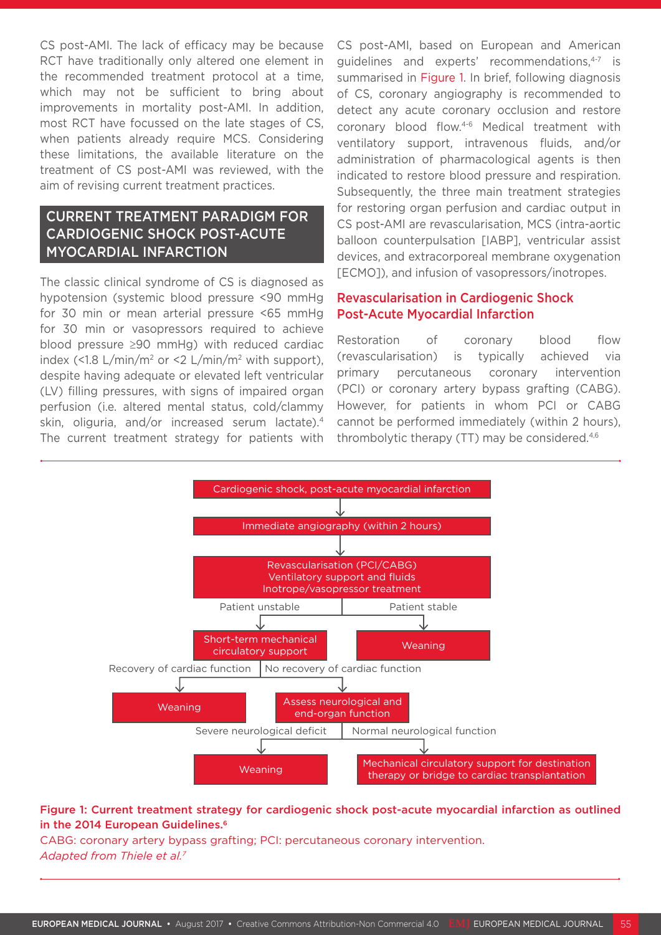CS post-AMI. The lack of efficacy may be because RCT have traditionally only altered one element in the recommended treatment protocol at a time, which may not be sufficient to bring about improvements in mortality post-AMI. In addition, most RCT have focussed on the late stages of CS, when patients already require MCS. Considering these limitations, the available literature on the treatment of CS post-AMI was reviewed, with the aim of revising current treatment practices.

## CURRENT TREATMENT PARADIGM FOR CARDIOGENIC SHOCK POST-ACUTE MYOCARDIAL INFARCTION

The classic clinical syndrome of CS is diagnosed as hypotension (systemic blood pressure <90 mmHg for 30 min or mean arterial pressure <65 mmHg for 30 min or vasopressors required to achieve blood pressure ≥90 mmHg) with reduced cardiac index (<1.8  $L/min/m^2$  or <2  $L/min/m^2$  with support), despite having adequate or elevated left ventricular (LV) filling pressures, with signs of impaired organ perfusion (i.e. altered mental status, cold/clammy skin, oliguria, and/or increased serum lactate).4 The current treatment strategy for patients with

CS post-AMI, based on European and American guidelines and experts' recommendations,4-7 is summarised in Figure 1. In brief, following diagnosis of CS, coronary angiography is recommended to detect any acute coronary occlusion and restore coronary blood flow.4-6 Medical treatment with ventilatory support, intravenous fluids, and/or administration of pharmacological agents is then indicated to restore blood pressure and respiration. Subsequently, the three main treatment strategies for restoring organ perfusion and cardiac output in CS post-AMI are revascularisation, MCS (intra-aortic balloon counterpulsation [IABP], ventricular assist devices, and extracorporeal membrane oxygenation [ECMO]), and infusion of vasopressors/inotropes.

#### Revascularisation in Cardiogenic Shock Post-Acute Myocardial Infarction

Restoration of coronary blood flow (revascularisation) is typically achieved via primary percutaneous coronary intervention (PCI) or coronary artery bypass grafting (CABG). However, for patients in whom PCI or CABG cannot be performed immediately (within 2 hours), thrombolytic therapy (TT) may be considered.<sup>4,6</sup>



#### Figure 1: Current treatment strategy for cardiogenic shock post-acute myocardial infarction as outlined in the 2014 European Guidelines.<sup>6</sup>

CABG: coronary artery bypass grafting; PCI: percutaneous coronary intervention. *Adapted from Thiele et al.7*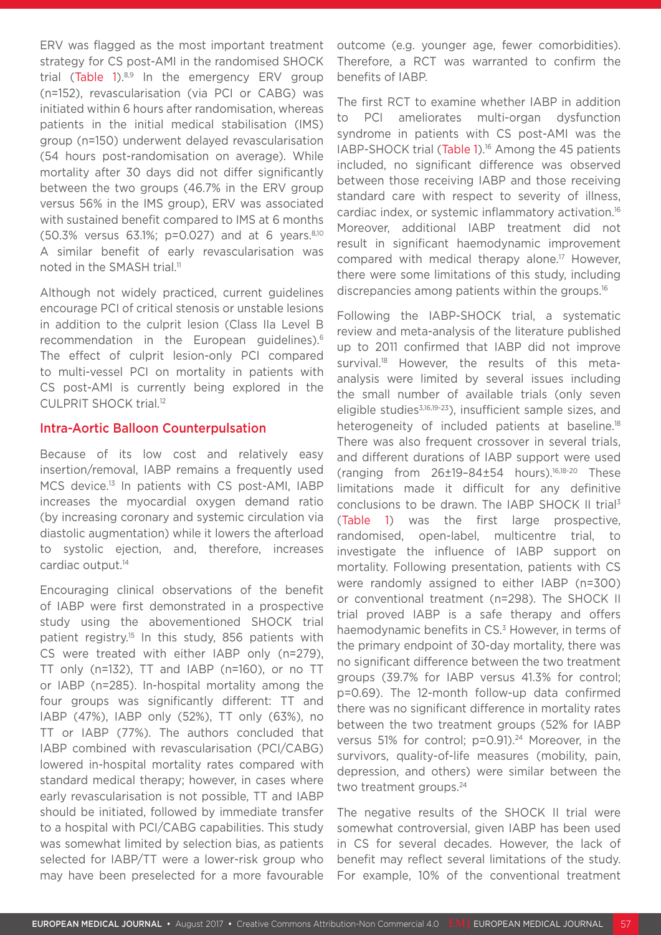ERV was flagged as the most important treatment strategy for CS post-AMI in the randomised SHOCK trial (Table 1). $8,9$  In the emergency ERV group (n=152), revascularisation (via PCI or CABG) was initiated within 6 hours after randomisation, whereas patients in the initial medical stabilisation (IMS) group (n=150) underwent delayed revascularisation (54 hours post-randomisation on average). While mortality after 30 days did not differ significantly between the two groups (46.7% in the ERV group versus 56% in the IMS group), ERV was associated with sustained benefit compared to IMS at 6 months (50.3% versus 63.1%; p=0.027) and at 6 years.8,10 A similar benefit of early revascularisation was noted in the SMASH trial.<sup>11</sup>

Although not widely practiced, current guidelines encourage PCI of critical stenosis or unstable lesions in addition to the culprit lesion (Class IIa Level B recommendation in the European guidelines).6 The effect of culprit lesion-only PCI compared to multi-vessel PCI on mortality in patients with CS post-AMI is currently being explored in the CULPRIT SHOCK trial.12

#### Intra-Aortic Balloon Counterpulsation

Because of its low cost and relatively easy insertion/removal, IABP remains a frequently used MCS device.<sup>13</sup> In patients with CS post-AMI, IABP increases the myocardial oxygen demand ratio (by increasing coronary and systemic circulation via diastolic augmentation) while it lowers the afterload to systolic ejection, and, therefore, increases cardiac output.<sup>14</sup>

Encouraging clinical observations of the benefit of IABP were first demonstrated in a prospective study using the abovementioned SHOCK trial patient registry.15 In this study, 856 patients with CS were treated with either IABP only (n=279), TT only (n=132), TT and IABP (n=160), or no TT or IABP (n=285). In-hospital mortality among the four groups was significantly different: TT and IABP (47%), IABP only (52%), TT only (63%), no TT or IABP (77%). The authors concluded that IABP combined with revascularisation (PCI/CABG) lowered in-hospital mortality rates compared with standard medical therapy; however, in cases where early revascularisation is not possible, TT and IABP should be initiated, followed by immediate transfer to a hospital with PCI/CABG capabilities. This study was somewhat limited by selection bias, as patients selected for IABP/TT were a lower-risk group who may have been preselected for a more favourable

outcome (e.g. younger age, fewer comorbidities). Therefore, a RCT was warranted to confirm the benefits of IABP.

The first RCT to examine whether IABP in addition to PCI ameliorates multi-organ dysfunction syndrome in patients with CS post-AMI was the IABP-SHOCK trial (Table 1).<sup>16</sup> Among the 45 patients included, no significant difference was observed between those receiving IABP and those receiving standard care with respect to severity of illness, cardiac index, or systemic inflammatory activation.16 Moreover, additional IABP treatment did not result in significant haemodynamic improvement compared with medical therapy alone.<sup>17</sup> However, there were some limitations of this study, including discrepancies among patients within the groups.16

Following the IABP-SHOCK trial, a systematic review and meta-analysis of the literature published up to 2011 confirmed that IABP did not improve survival.<sup>18</sup> However, the results of this metaanalysis were limited by several issues including the small number of available trials (only seven eligible studies<sup>3,16,19-23</sup>), insufficient sample sizes, and heterogeneity of included patients at baseline.<sup>18</sup> There was also frequent crossover in several trials, and different durations of IABP support were used (ranging from 26±19–84±54 hours).16,18-20 These limitations made it difficult for any definitive conclusions to be drawn. The IABP SHOCK II trial<sup>3</sup> (Table 1) was the first large prospective, randomised, open-label, multicentre trial, to investigate the influence of IABP support on mortality. Following presentation, patients with CS were randomly assigned to either IABP (n=300) or conventional treatment (n=298). The SHOCK II trial proved IABP is a safe therapy and offers haemodynamic benefits in CS.<sup>3</sup> However, in terms of the primary endpoint of 30-day mortality, there was no significant difference between the two treatment groups (39.7% for IABP versus 41.3% for control; p=0.69). The 12-month follow-up data confirmed there was no significant difference in mortality rates between the two treatment groups (52% for IABP versus 51% for control; p=0.91).<sup>24</sup> Moreover, in the survivors, quality-of-life measures (mobility, pain, depression, and others) were similar between the two treatment groups.<sup>24</sup>

The negative results of the SHOCK II trial were somewhat controversial, given IABP has been used in CS for several decades. However, the lack of benefit may reflect several limitations of the study. For example, 10% of the conventional treatment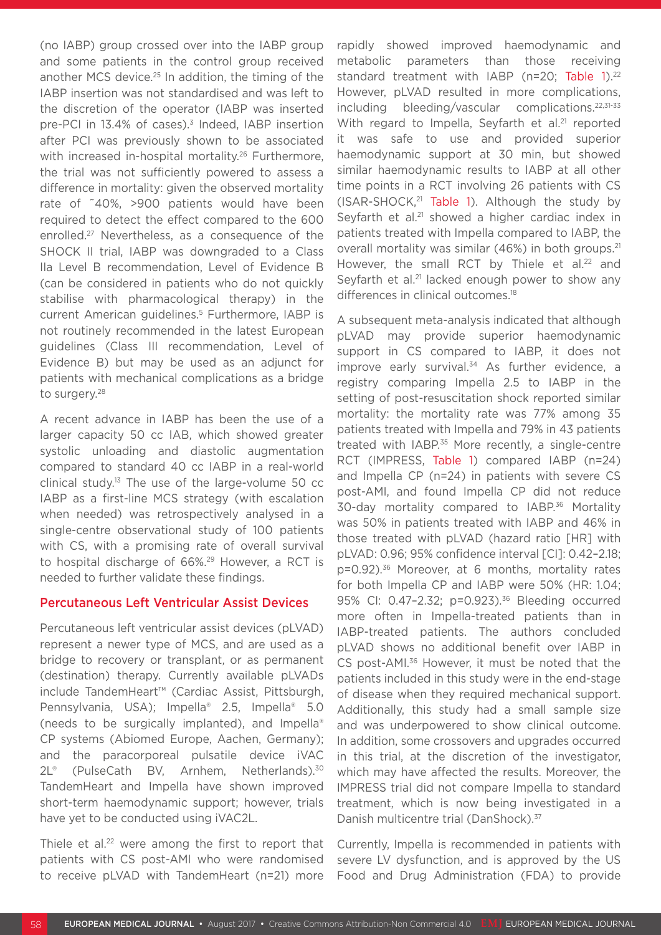(no IABP) group crossed over into the IABP group and some patients in the control group received another MCS device.25 In addition, the timing of the IABP insertion was not standardised and was left to the discretion of the operator (IABP was inserted pre-PCI in 13.4% of cases).3 Indeed, IABP insertion after PCI was previously shown to be associated with increased in-hospital mortality.<sup>26</sup> Furthermore, the trial was not sufficiently powered to assess a difference in mortality: given the observed mortality rate of ˜40%, >900 patients would have been required to detect the effect compared to the 600 enrolled.27 Nevertheless, as a consequence of the SHOCK II trial, IABP was downgraded to a Class IIa Level B recommendation, Level of Evidence B (can be considered in patients who do not quickly stabilise with pharmacological therapy) in the current American guidelines.5 Furthermore, IABP is not routinely recommended in the latest European guidelines (Class III recommendation, Level of Evidence B) but may be used as an adjunct for patients with mechanical complications as a bridge to surgery.28

A recent advance in IABP has been the use of a larger capacity 50 cc IAB, which showed greater systolic unloading and diastolic augmentation compared to standard 40 cc IABP in a real-world clinical study.<sup>13</sup> The use of the large-volume 50  $cc$ IABP as a first-line MCS strategy (with escalation when needed) was retrospectively analysed in a single-centre observational study of 100 patients with CS, with a promising rate of overall survival to hospital discharge of 66%.<sup>29</sup> However, a RCT is needed to further validate these findings.

#### Percutaneous Left Ventricular Assist Devices

Percutaneous left ventricular assist devices (pLVAD) represent a newer type of MCS, and are used as a bridge to recovery or transplant, or as permanent (destination) therapy. Currently available pLVADs include TandemHeart™ (Cardiac Assist, Pittsburgh, Pennsylvania, USA); Impella® 2.5, Impella® 5.0 (needs to be surgically implanted), and Impella® CP systems (Abiomed Europe, Aachen, Germany); and the paracorporeal pulsatile device iVAC 2L<sup>®</sup> (PulseCath BV, Arnhem, Netherlands).<sup>30</sup> TandemHeart and Impella have shown improved short-term haemodynamic support; however, trials have yet to be conducted using iVAC2L.

Thiele et al.<sup>22</sup> were among the first to report that patients with CS post-AMI who were randomised to receive pLVAD with TandemHeart (n=21) more

rapidly showed improved haemodynamic and metabolic parameters than those receiving standard treatment with IABP (n=20; Table 1).<sup>22</sup> However, pLVAD resulted in more complications, including bleeding/vascular complications.22,31-33 With regard to Impella, Seyfarth et al.<sup>21</sup> reported it was safe to use and provided superior haemodynamic support at 30 min, but showed similar haemodynamic results to IABP at all other time points in a RCT involving 26 patients with CS (ISAR-SHOCK,21 Table 1). Although the study by Seyfarth et al.<sup>21</sup> showed a higher cardiac index in patients treated with Impella compared to IABP, the overall mortality was similar (46%) in both groups.<sup>21</sup> However, the small RCT by Thiele et al.<sup>22</sup> and Seyfarth et al.<sup>21</sup> lacked enough power to show any differences in clinical outcomes.<sup>18</sup>

A subsequent meta-analysis indicated that although pLVAD may provide superior haemodynamic support in CS compared to IABP, it does not improve early survival.<sup>34</sup> As further evidence, a registry comparing Impella 2.5 to IABP in the setting of post-resuscitation shock reported similar mortality: the mortality rate was 77% among 35 patients treated with Impella and 79% in 43 patients treated with IABP.<sup>35</sup> More recently, a single-centre RCT (IMPRESS, Table 1) compared IABP (n=24) and Impella CP (n=24) in patients with severe CS post-AMI, and found Impella CP did not reduce 30-day mortality compared to IABP.36 Mortality was 50% in patients treated with IABP and 46% in those treated with pLVAD (hazard ratio [HR] with pLVAD: 0.96; 95% confidence interval [CI]: 0.42–2.18; p=0.92).36 Moreover, at 6 months, mortality rates for both Impella CP and IABP were 50% (HR: 1.04; 95% CI: 0.47–2.32; p=0.923).36 Bleeding occurred more often in Impella-treated patients than in IABP-treated patients. The authors concluded pLVAD shows no additional benefit over IABP in CS post-AMI.36 However, it must be noted that the patients included in this study were in the end-stage of disease when they required mechanical support. Additionally, this study had a small sample size and was underpowered to show clinical outcome. In addition, some crossovers and upgrades occurred in this trial, at the discretion of the investigator, which may have affected the results. Moreover, the IMPRESS trial did not compare Impella to standard treatment, which is now being investigated in a Danish multicentre trial (DanShock).<sup>37</sup>

Currently, Impella is recommended in patients with severe LV dysfunction, and is approved by the US Food and Drug Administration (FDA) to provide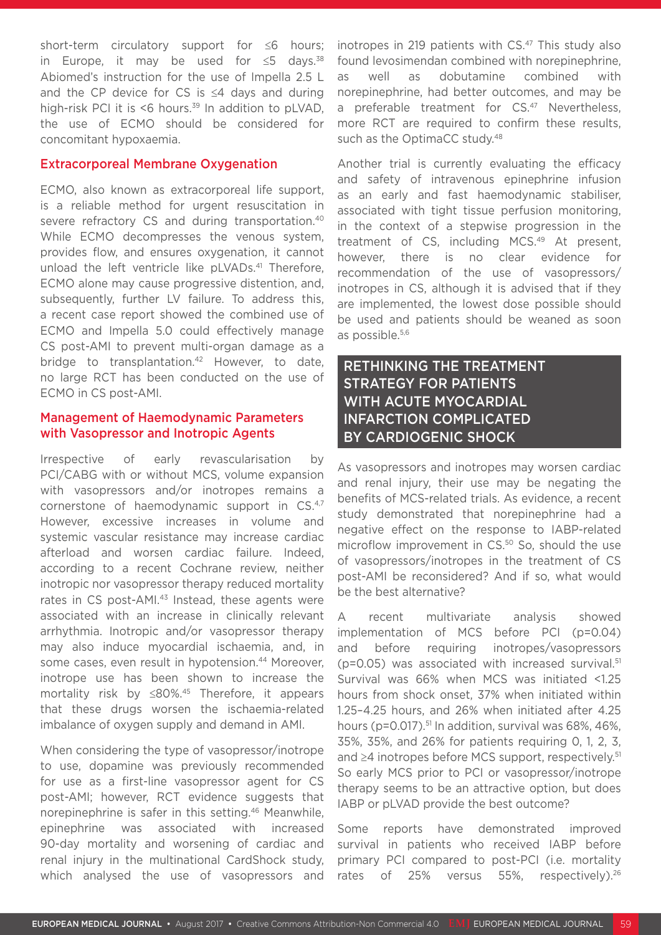short-term circulatory support for ≤6 hours; in Europe, it may be used for  $\leq$ 5 days.<sup>38</sup> Abiomed's instruction for the use of Impella 2.5 L and the CP device for CS is ≤4 days and during high-risk PCI it is  $\leq 6$  hours.<sup>39</sup> In addition to pLVAD, the use of ECMO should be considered for concomitant hypoxaemia.

#### Extracorporeal Membrane Oxygenation

ECMO, also known as extracorporeal life support. is a reliable method for urgent resuscitation in severe refractory CS and during transportation.<sup>40</sup> While ECMO decompresses the venous system, provides flow, and ensures oxygenation, it cannot unload the left ventricle like pLVADs.<sup>41</sup> Therefore, ECMO alone may cause progressive distention, and, subsequently, further LV failure. To address this, a recent case report showed the combined use of ECMO and Impella 5.0 could effectively manage CS post-AMI to prevent multi-organ damage as a bridge to transplantation.<sup>42</sup> However, to date, no large RCT has been conducted on the use of ECMO in CS post-AMI.

#### Management of Haemodynamic Parameters with Vasopressor and Inotropic Agents

Irrespective of early revascularisation by PCI/CABG with or without MCS, volume expansion with vasopressors and/or inotropes remains a cornerstone of haemodynamic support in CS.4,7 However, excessive increases in volume and systemic vascular resistance may increase cardiac afterload and worsen cardiac failure. Indeed, according to a recent Cochrane review, neither inotropic nor vasopressor therapy reduced mortality rates in CS post-AMI.<sup>43</sup> Instead, these agents were associated with an increase in clinically relevant arrhythmia. Inotropic and/or vasopressor therapy may also induce myocardial ischaemia, and, in some cases, even result in hypotension.<sup>44</sup> Moreover, inotrope use has been shown to increase the mortality risk by ≤80%.45 Therefore, it appears that these drugs worsen the ischaemia-related imbalance of oxygen supply and demand in AMI.

When considering the type of vasopressor/inotrope to use, dopamine was previously recommended for use as a first-line vasopressor agent for CS post-AMI; however, RCT evidence suggests that norepinephrine is safer in this setting.<sup>46</sup> Meanwhile, epinephrine was associated with increased 90-day mortality and worsening of cardiac and renal injury in the multinational CardShock study, which analysed the use of vasopressors and

inotropes in 219 patients with CS.<sup>47</sup> This study also found levosimendan combined with norepinephrine, as well as dobutamine combined with norepinephrine, had better outcomes, and may be a preferable treatment for CS.<sup>47</sup> Nevertheless. more RCT are required to confirm these results, such as the OptimaCC study.<sup>48</sup>

Another trial is currently evaluating the efficacy and safety of intravenous epinephrine infusion as an early and fast haemodynamic stabiliser, associated with tight tissue perfusion monitoring, in the context of a stepwise progression in the treatment of CS, including MCS.49 At present, however, there is no clear evidence for recommendation of the use of vasopressors/ inotropes in CS, although it is advised that if they are implemented, the lowest dose possible should be used and patients should be weaned as soon as possible.5,6

## RETHINKING THE TREATMENT STRATEGY FOR PATIENTS WITH ACUTE MYOCARDIAL INFARCTION COMPLICATED BY CARDIOGENIC SHOCK

As vasopressors and inotropes may worsen cardiac and renal injury, their use may be negating the benefits of MCS-related trials. As evidence, a recent study demonstrated that norepinephrine had a negative effect on the response to IABP-related microflow improvement in CS.<sup>50</sup> So, should the use of vasopressors/inotropes in the treatment of CS post-AMI be reconsidered? And if so, what would be the best alternative?

A recent multivariate analysis showed implementation of MCS before PCI (p=0.04) and before requiring inotropes/vasopressors  $(p=0.05)$  was associated with increased survival.<sup>51</sup> Survival was 66% when MCS was initiated <1.25 hours from shock onset, 37% when initiated within 1.25–4.25 hours, and 26% when initiated after 4.25 hours (p=0.017).<sup>51</sup> In addition, survival was 68%, 46%, 35%, 35%, and 26% for patients requiring 0, 1, 2, 3, and ≥4 inotropes before MCS support, respectively.<sup>51</sup> So early MCS prior to PCI or vasopressor/inotrope therapy seems to be an attractive option, but does IABP or pLVAD provide the best outcome?

Some reports have demonstrated improved survival in patients who received IABP before primary PCI compared to post-PCI (i.e. mortality rates of 25% versus 55%, respectively).<sup>26</sup>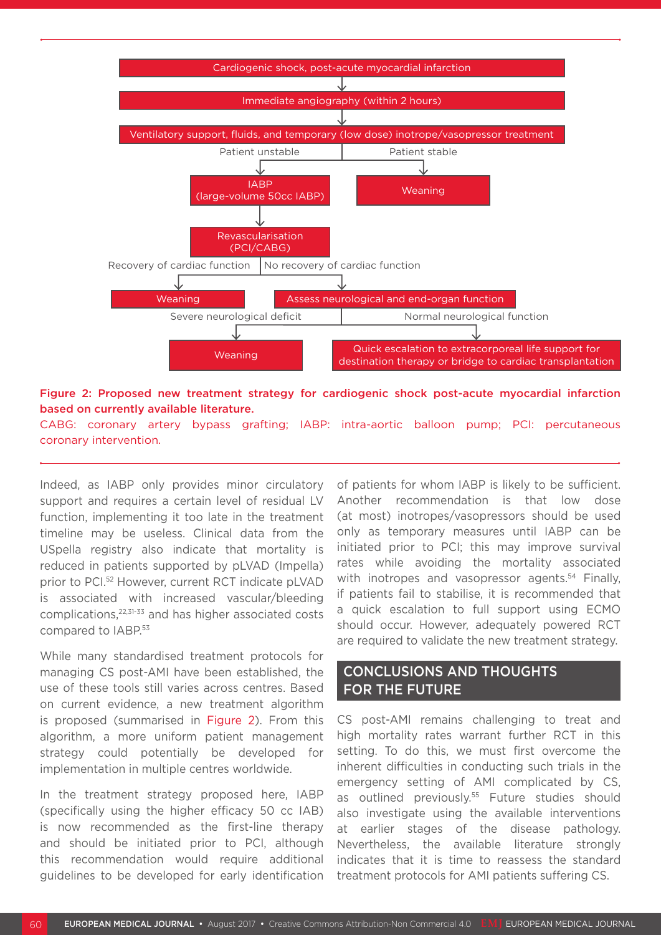

Figure 2: Proposed new treatment strategy for cardiogenic shock post-acute myocardial infarction based on currently available literature.

CABG: coronary artery bypass grafting; IABP: intra-aortic balloon pump; PCI: percutaneous coronary intervention.

Indeed, as IABP only provides minor circulatory support and requires a certain level of residual LV function, implementing it too late in the treatment timeline may be useless. Clinical data from the USpella registry also indicate that mortality is reduced in patients supported by pLVAD (Impella) prior to PCI.52 However, current RCT indicate pLVAD is associated with increased vascular/bleeding complications,22,31-33 and has higher associated costs compared to IABP.53

While many standardised treatment protocols for managing CS post-AMI have been established, the use of these tools still varies across centres. Based on current evidence, a new treatment algorithm is proposed (summarised in Figure 2). From this algorithm, a more uniform patient management strategy could potentially be developed for implementation in multiple centres worldwide.

In the treatment strategy proposed here, IABP (specifically using the higher efficacy 50 cc IAB) is now recommended as the first-line therapy and should be initiated prior to PCI, although this recommendation would require additional guidelines to be developed for early identification

of patients for whom IABP is likely to be sufficient. Another recommendation is that low dose (at most) inotropes/vasopressors should be used only as temporary measures until IABP can be initiated prior to PCI; this may improve survival rates while avoiding the mortality associated with inotropes and vasopressor agents.<sup>54</sup> Finally, if patients fail to stabilise, it is recommended that a quick escalation to full support using ECMO should occur. However, adequately powered RCT are required to validate the new treatment strategy.

### CONCLUSIONS AND THOUGHTS FOR THE FUTURE

CS post-AMI remains challenging to treat and high mortality rates warrant further RCT in this setting. To do this, we must first overcome the inherent difficulties in conducting such trials in the emergency setting of AMI complicated by CS, as outlined previously.<sup>55</sup> Future studies should also investigate using the available interventions at earlier stages of the disease pathology. Nevertheless, the available literature strongly indicates that it is time to reassess the standard treatment protocols for AMI patients suffering CS.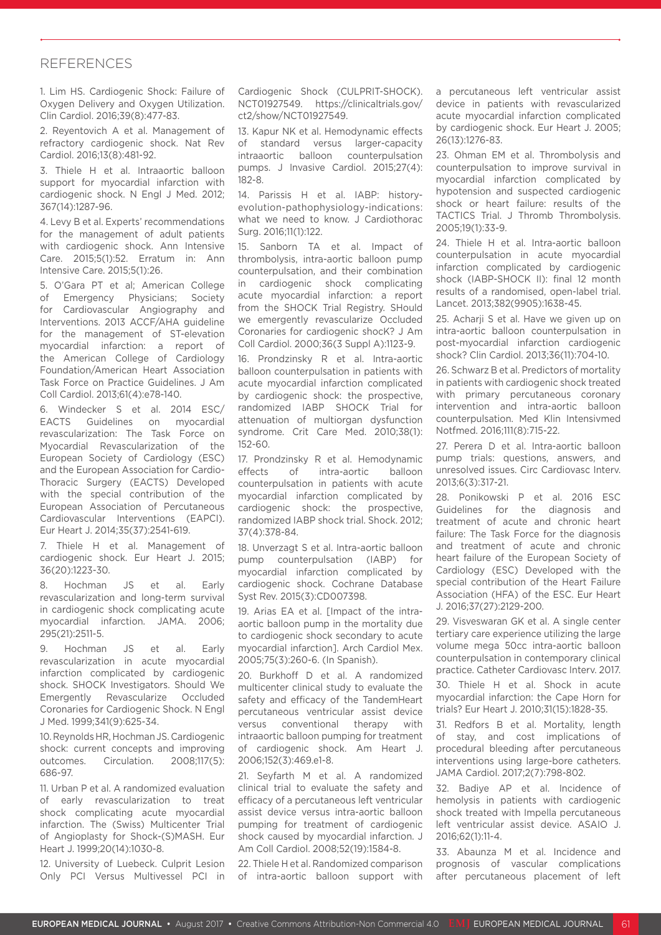#### REFERENCES

1. Lim HS. Cardiogenic Shock: Failure of Oxygen Delivery and Oxygen Utilization. Clin Cardiol. 2016;39(8):477-83.

2. Reyentovich A et al. Management of refractory cardiogenic shock. Nat Rev Cardiol. 2016;13(8):481-92.

3. Thiele H et al. Intraaortic balloon support for myocardial infarction with cardiogenic shock. N Engl J Med. 2012; 367(14):1287-96.

4. Levy B et al. Experts' recommendations for the management of adult patients with cardiogenic shock. Ann Intensive Care. 2015;5(1):52. Erratum in: Ann Intensive Care. 2015;5(1):26.

5. O'Gara PT et al; American College of Emergency Physicians; Society for Cardiovascular Angiography and Interventions. 2013 ACCF/AHA guideline for the management of ST-elevation myocardial infarction: a report of the American College of Cardiology Foundation/American Heart Association Task Force on Practice Guidelines. J Am Coll Cardiol. 2013;61(4):e78-140.

6. Windecker S et al. 2014 ESC/ EACTS Guidelines on myocardial revascularization: The Task Force on Myocardial Revascularization of the European Society of Cardiology (ESC) and the European Association for Cardio-Thoracic Surgery (EACTS) Developed with the special contribution of the European Association of Percutaneous Cardiovascular Interventions (EAPCI). Eur Heart J. 2014;35(37):2541-619.

7. Thiele H et al. Management of cardiogenic shock. Eur Heart J. 2015; 36(20):1223-30.

8. Hochman JS et al. Early revascularization and long-term survival in cardiogenic shock complicating acute myocardial infarction. JAMA. 2006; 295(21):2511-5.

9. Hochman JS et al. Early revascularization in acute myocardial infarction complicated by cardiogenic shock. SHOCK Investigators. Should We Emergently Revascularize Occluded Coronaries for Cardiogenic Shock. N Engl J Med. 1999;341(9):625-34.

10. Reynolds HR, Hochman JS. Cardiogenic shock: current concepts and improving outcomes. Circulation. 2008;117(5): 686-97.

11. Urban P et al. A randomized evaluation of early revascularization to treat shock complicating acute myocardial infarction. The (Swiss) Multicenter Trial of Angioplasty for Shock-(S)MASH. Eur Heart J. 1999;20(14):1030-8.

12. University of Luebeck. Culprit Lesion Only PCI Versus Multivessel PCI in Cardiogenic Shock (CULPRIT-SHOCK). NCT01927549. https://clinicaltrials.gov/ ct2/show/NCT01927549.

13. Kapur NK et al. Hemodynamic effects of standard versus larger-capacity intraaortic balloon counterpulsation pumps. J Invasive Cardiol. 2015;27(4): 182-8.

14. Parissis H et al. IABP: historyevolution-pathophysiology-indications: what we need to know. J Cardiothorac Surg. 2016;11(1):122.

15. Sanborn TA et al. Impact of thrombolysis, intra-aortic balloon pump counterpulsation, and their combination in cardiogenic shock complicating acute myocardial infarction: a report from the SHOCK Trial Registry. SHould we emergently revascularize Occluded Coronaries for cardiogenic shocK? J Am Coll Cardiol. 2000;36(3 Suppl A):1123-9.

16. Prondzinsky R et al. Intra-aortic balloon counterpulsation in patients with acute myocardial infarction complicated by cardiogenic shock: the prospective, randomized IABP SHOCK Trial for attenuation of multiorgan dysfunction syndrome. Crit Care Med. 2010;38(1): 152-60.

17. Prondzinsky R et al. Hemodynamic effects of intra-aortic balloon counterpulsation in patients with acute myocardial infarction complicated by cardiogenic shock: the prospective, randomized IABP shock trial. Shock. 2012; 37(4):378-84.

18. Unverzagt S et al. Intra-aortic balloon pump counterpulsation (IABP) for myocardial infarction complicated by cardiogenic shock. Cochrane Database Syst Rev. 2015(3):CD007398.

19. Arias EA et al. [Impact of the intraaortic balloon pump in the mortality due to cardiogenic shock secondary to acute myocardial infarction]. Arch Cardiol Mex. 2005;75(3):260-6. (In Spanish).

20. Burkhoff D et al. A randomized multicenter clinical study to evaluate the safety and efficacy of the TandemHeart percutaneous ventricular assist device versus conventional therapy with intraaortic balloon pumping for treatment of cardiogenic shock. Am Heart J. 2006;152(3):469.e1-8.

21. Seyfarth M et al. A randomized clinical trial to evaluate the safety and efficacy of a percutaneous left ventricular assist device versus intra-aortic balloon pumping for treatment of cardiogenic shock caused by myocardial infarction. J Am Coll Cardiol. 2008;52(19):1584-8.

22. Thiele H et al. Randomized comparison of intra-aortic balloon support with a percutaneous left ventricular assist device in patients with revascularized acute myocardial infarction complicated by cardiogenic shock. Eur Heart J. 2005; 26(13):1276-83.

23. Ohman EM et al. Thrombolysis and counterpulsation to improve survival in myocardial infarction complicated by hypotension and suspected cardiogenic shock or heart failure: results of the TACTICS Trial. J Thromb Thrombolysis. 2005;19(1):33-9.

24. Thiele H et al. Intra-aortic balloon counterpulsation in acute myocardial infarction complicated by cardiogenic shock (IABP-SHOCK II): final 12 month results of a randomised, open-label trial. Lancet. 2013;382(9905):1638-45.

25. Acharii S et al. Have we given up on intra-aortic balloon counterpulsation in post-myocardial infarction cardiogenic shock? Clin Cardiol. 2013;36(11):704-10.

26. Schwarz B et al. Predictors of mortality in patients with cardiogenic shock treated with primary percutaneous coronary intervention and intra-aortic balloon counterpulsation. Med Klin Intensivmed Notfmed. 2016;111(8):715-22.

27. Perera D et al. Intra-aortic balloon pump trials: questions, answers, and unresolved issues. Circ Cardiovasc Interv. 2013;6(3):317-21.

28. Ponikowski P et al. 2016 ESC Guidelines for the diagnosis and treatment of acute and chronic heart failure: The Task Force for the diagnosis and treatment of acute and chronic heart failure of the European Society of Cardiology (ESC) Developed with the special contribution of the Heart Failure Association (HFA) of the ESC. Eur Heart J. 2016;37(27):2129-200.

29. Visveswaran GK et al. A single center tertiary care experience utilizing the large volume mega 50cc intra-aortic balloon counterpulsation in contemporary clinical practice. Catheter Cardiovasc Interv. 2017.

30. Thiele H et al. Shock in acute myocardial infarction: the Cape Horn for trials? Eur Heart J. 2010;31(15):1828-35.

31. Redfors B et al. Mortality, length of stay, and cost implications of procedural bleeding after percutaneous interventions using large-bore catheters. JAMA Cardiol. 2017;2(7):798-802.

32. Badiye AP et al. Incidence of hemolysis in patients with cardiogenic shock treated with Impella percutaneous left ventricular assist device. ASAIO J. 2016;62(1):11-4.

33. Abaunza M et al. Incidence and prognosis of vascular complications after percutaneous placement of left